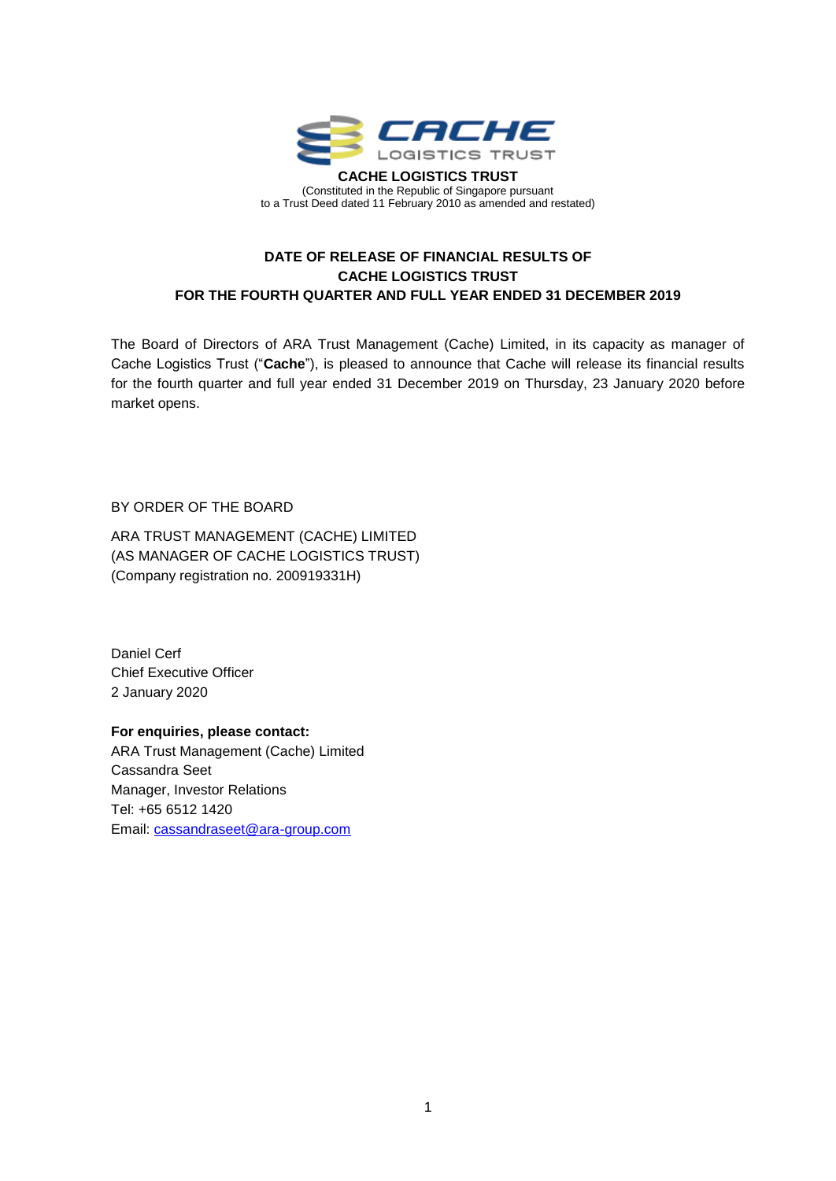

## **DATE OF RELEASE OF FINANCIAL RESULTS OF CACHE LOGISTICS TRUST** 5 FOR THE FOURTH QUARTER AND FULL YEAR ENDED 31 DECEMBER 2019

The Board of Directors of ARA Trust Management (Cache) Limited, in its capacity as manager of Cache Logistics Trust ("**Cache**"), is pleased to announce that Cache will release its financial results 9 for the fourth quarter and full year ended 31 December 2019 on Thursday, 23 January 2020 before market opens. In the contract of the contract of the contract of the contract of the contract of the contract of the contract of the contract of the contract of the contract of the contract of the contract of the contract

BY ORDER OF THE BOARD 15 AM AND THE SOLUTION OF THE BOARD 15 AM AND THE SOLUTION OF THE SOLUTION OF THE SOLUTION OF THE SOLUTION OF THE SOLUTION OF THE SOLUTION OF THE SOLUTION OF THE SOLUTION OF THE SOLUTION OF THE SOLUTI

ARA TRUST MANAGEMENT (CACHE) LIMITED (AS MANAGER OF CACHE LOGISTICS TRUST) (Company registration no. 200919331H)

Daniel Cerf 22 Chief Executive Officer 23 2 January 2020 24

**For enquiries, please contact:** 26 ARA Trust Management (Cache) Limited 27 Cassandra Seet 28 Manager, Investor Relations 29 Tel: +65 6512 1420 30 Email: [cassandraseet@ara-group.com](mailto:cassandraseet@ara-group.com)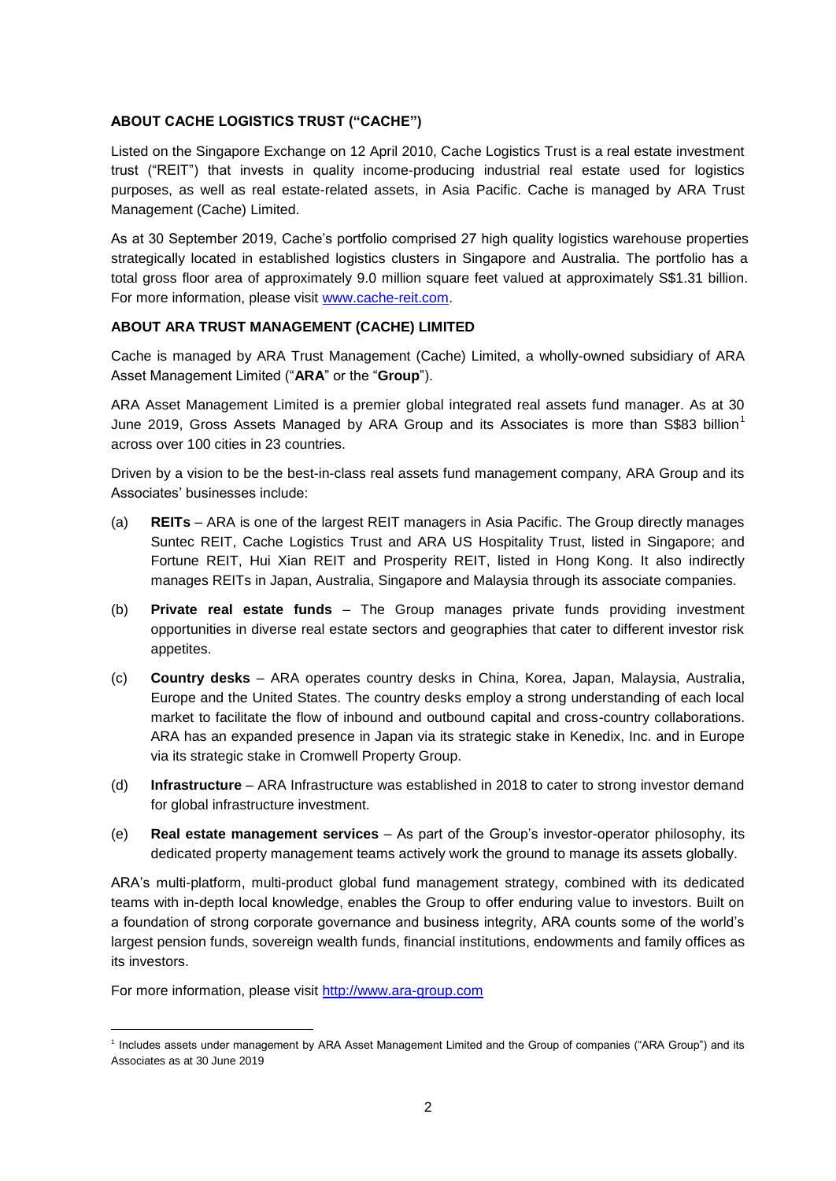## **ABOUT CACHE LOGISTICS TRUST ("CACHE")** 46

Listed on the Singapore Exchange on 12 April 2010, Cache Logistics Trust is a real estate investment trust ("REIT") that invests in quality income-producing industrial real estate used for logistics 48 purposes, as well as real estate-related assets, in Asia Pacific. Cache is managed by ARA Trust Management (Cache) Limited. 50

As at 30 September 2019, Cache's portfolio comprised 27 high quality logistics warehouse properties strategically located in established logistics clusters in Singapore and Australia. The portfolio has a total gross floor area of approximately 9.0 million square feet valued at approximately S\$1.31 billion. For more information, please visit [www.cache-reit.com.](http://www.cache-reit.com/)

## **ABOUT ARA TRUST MANAGEMENT (CACHE) LIMITED** 55

Cache is managed by ARA Trust Management (Cache) Limited, a wholly-owned subsidiary of ARA Asset Management Limited ("ARA" or the "Group").

ARA Asset Management Limited is a premier global integrated real assets fund manager. As at 30 June 2019, Gross Assets Managed by ARA Group and its Associates is more than S\$83 billion<sup>1</sup> across over 100 cities in 23 countries. **60 cm and 23 countries** over the control of the control of the control o

Driven by a vision to be the best-in-class real assets fund management company, ARA Group and its Associates' businesses include: 62

- (a) **REITs** ARA is one of the largest REIT managers in Asia Pacific. The Group directly manages Suntec REIT, Cache Logistics Trust and ARA US Hospitality Trust, listed in Singapore; and Fortune REIT, Hui Xian REIT and Prosperity REIT, listed in Hong Kong. It also indirectly manages REITs in Japan, Australia, Singapore and Malaysia through its associate companies. 66
- (b) **Private real estate funds** The Group manages private funds providing investment opportunities in diverse real estate sectors and geographies that cater to different investor risk 68 appetites. The contract of the contract of the contract of the contract of the contract of the contract of the contract of the contract of the contract of the contract of the contract of the contract of the contract of the
- (c) **Country desks**  ARA operates country desks in China, Korea, Japan, Malaysia, Australia, 70 Europe and the United States. The country desks employ a strong understanding of each local 71 market to facilitate the flow of inbound and outbound capital and cross-country collaborations. 72 ARA has an expanded presence in Japan via its strategic stake in Kenedix, Inc. and in Europe via its strategic stake in Cromwell Property Group.
- (d) **Infrastructure**  ARA Infrastructure was established in 2018 to cater to strong investor demand 75 for global infrastructure investment.  $\overline{a}$  is a set of  $\overline{a}$  is a set of  $\overline{a}$  is a set of  $\overline{a}$  is a set of  $\overline{a}$  is a set of  $\overline{a}$  is a set of  $\overline{a}$  is a set of  $\overline{a}$  is a set of  $\overline{a}$  is a s
- (e) **Real estate management services** As part of the Group's investor-operator philosophy, its 77 dedicated property management teams actively work the ground to manage its assets globally.

ARA's multi-platform, multi-product global fund management strategy, combined with its dedicated teams with in-depth local knowledge, enables the Group to offer enduring value to investors. Built on a foundation of strong corporate governance and business integrity, ARA counts some of the world's largest pension funds, sovereign wealth funds, financial institutions, endowments and family offices as its investors. And the state of the state of the state of the state of the state of the state of the state of the state of the state of the state of the state of the state of the state of the state of the state of the stat

For more information, please visit [http://www.ara-group.com](http://www.ara-group.com/)

l

<sup>1</sup> Includes assets under management by ARA Asset Management Limited and the Group of companies ("ARA Group") and its Associates as at 30 June 2019